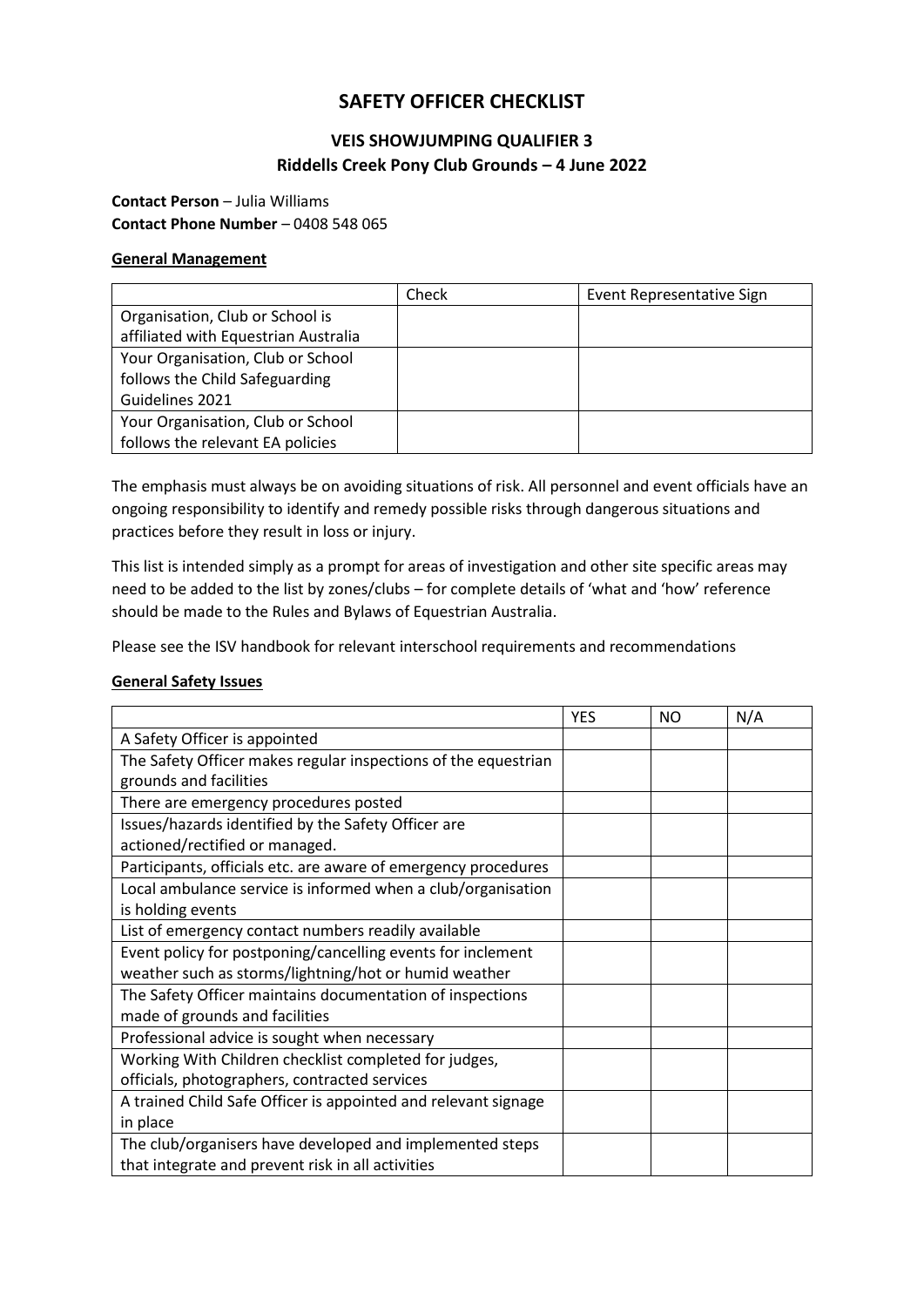# **SAFETY OFFICER CHECKLIST**

# **VEIS SHOWJUMPING QUALIFIER 3 Riddells Creek Pony Club Grounds – 4 June 2022**

### **Contact Person** – Julia Williams **Contact Phone Number** – 0408 548 065

#### **General Management**

|                                      | Check | Event Representative Sign |
|--------------------------------------|-------|---------------------------|
| Organisation, Club or School is      |       |                           |
| affiliated with Equestrian Australia |       |                           |
| Your Organisation, Club or School    |       |                           |
| follows the Child Safeguarding       |       |                           |
| Guidelines 2021                      |       |                           |
| Your Organisation, Club or School    |       |                           |
| follows the relevant EA policies     |       |                           |

The emphasis must always be on avoiding situations of risk. All personnel and event officials have an ongoing responsibility to identify and remedy possible risks through dangerous situations and practices before they result in loss or injury.

This list is intended simply as a prompt for areas of investigation and other site specific areas may need to be added to the list by zones/clubs – for complete details of 'what and 'how' reference should be made to the Rules and Bylaws of Equestrian Australia.

Please see the ISV handbook for relevant interschool requirements and recommendations

#### **General Safety Issues**

|                                                                | <b>YES</b> | NO | N/A |
|----------------------------------------------------------------|------------|----|-----|
| A Safety Officer is appointed                                  |            |    |     |
| The Safety Officer makes regular inspections of the equestrian |            |    |     |
| grounds and facilities                                         |            |    |     |
| There are emergency procedures posted                          |            |    |     |
| Issues/hazards identified by the Safety Officer are            |            |    |     |
| actioned/rectified or managed.                                 |            |    |     |
| Participants, officials etc. are aware of emergency procedures |            |    |     |
| Local ambulance service is informed when a club/organisation   |            |    |     |
| is holding events                                              |            |    |     |
| List of emergency contact numbers readily available            |            |    |     |
| Event policy for postponing/cancelling events for inclement    |            |    |     |
| weather such as storms/lightning/hot or humid weather          |            |    |     |
| The Safety Officer maintains documentation of inspections      |            |    |     |
| made of grounds and facilities                                 |            |    |     |
| Professional advice is sought when necessary                   |            |    |     |
| Working With Children checklist completed for judges,          |            |    |     |
| officials, photographers, contracted services                  |            |    |     |
| A trained Child Safe Officer is appointed and relevant signage |            |    |     |
| in place                                                       |            |    |     |
| The club/organisers have developed and implemented steps       |            |    |     |
| that integrate and prevent risk in all activities              |            |    |     |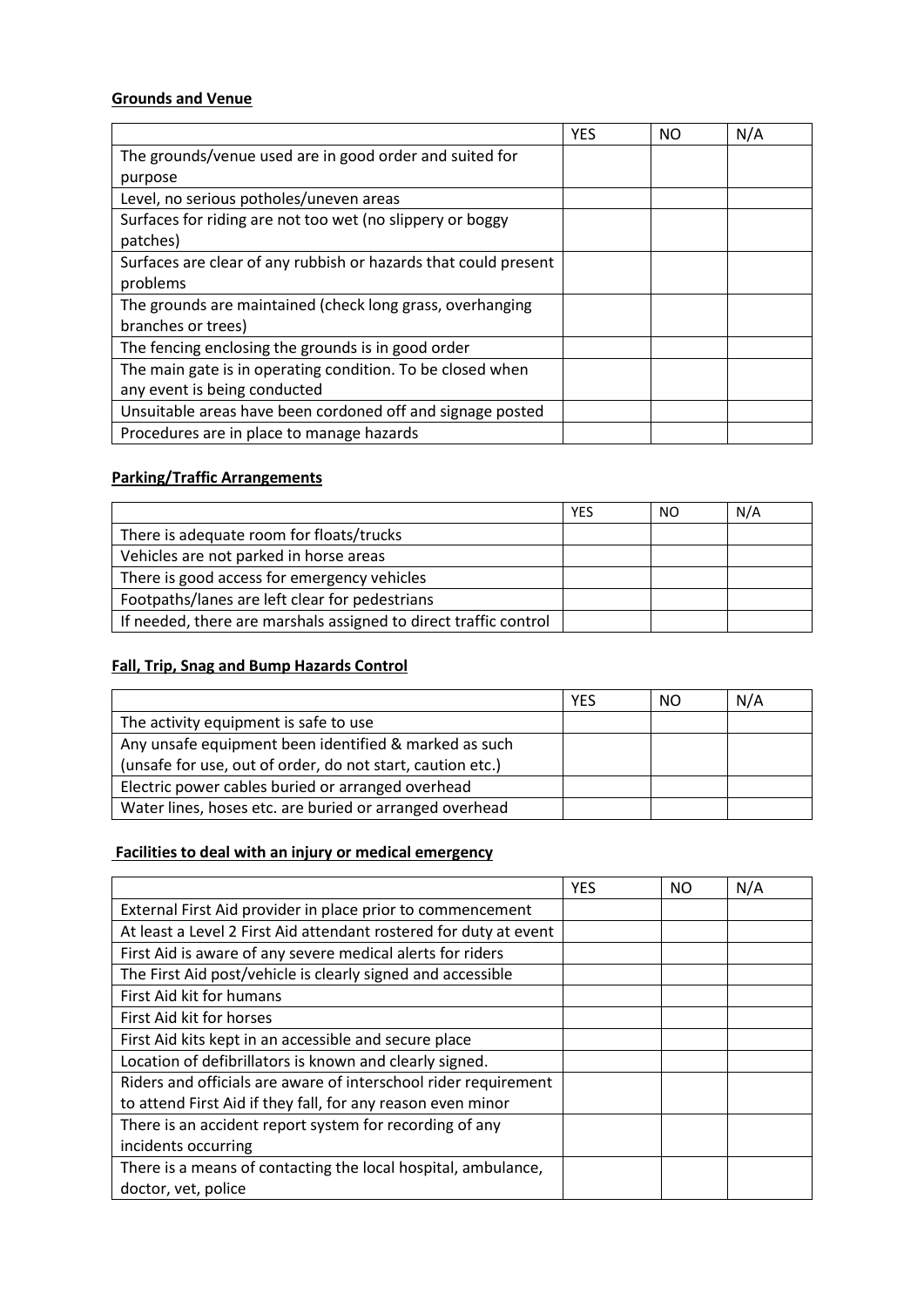### **Grounds and Venue**

|                                                                 | <b>YES</b> | NΟ | N/A |
|-----------------------------------------------------------------|------------|----|-----|
| The grounds/venue used are in good order and suited for         |            |    |     |
| purpose                                                         |            |    |     |
| Level, no serious potholes/uneven areas                         |            |    |     |
| Surfaces for riding are not too wet (no slippery or boggy       |            |    |     |
| patches)                                                        |            |    |     |
| Surfaces are clear of any rubbish or hazards that could present |            |    |     |
| problems                                                        |            |    |     |
| The grounds are maintained (check long grass, overhanging       |            |    |     |
| branches or trees)                                              |            |    |     |
| The fencing enclosing the grounds is in good order              |            |    |     |
| The main gate is in operating condition. To be closed when      |            |    |     |
| any event is being conducted                                    |            |    |     |
| Unsuitable areas have been cordoned off and signage posted      |            |    |     |
| Procedures are in place to manage hazards                       |            |    |     |

## **Parking/Traffic Arrangements**

|                                                                  | <b>YES</b> | NO. | N/A |
|------------------------------------------------------------------|------------|-----|-----|
| There is adequate room for floats/trucks                         |            |     |     |
| Vehicles are not parked in horse areas                           |            |     |     |
| There is good access for emergency vehicles                      |            |     |     |
| Footpaths/lanes are left clear for pedestrians                   |            |     |     |
| If needed, there are marshals assigned to direct traffic control |            |     |     |

## **Fall, Trip, Snag and Bump Hazards Control**

|                                                            | YES | <b>NO</b> | N/A |
|------------------------------------------------------------|-----|-----------|-----|
| The activity equipment is safe to use                      |     |           |     |
| Any unsafe equipment been identified & marked as such      |     |           |     |
| (unsafe for use, out of order, do not start, caution etc.) |     |           |     |
| Electric power cables buried or arranged overhead          |     |           |     |
| Water lines, hoses etc. are buried or arranged overhead    |     |           |     |

# **Facilities to deal with an injury or medical emergency**

|                                                                   | <b>YES</b> | NO. | N/A |
|-------------------------------------------------------------------|------------|-----|-----|
| External First Aid provider in place prior to commencement        |            |     |     |
| At least a Level 2 First Aid attendant rostered for duty at event |            |     |     |
| First Aid is aware of any severe medical alerts for riders        |            |     |     |
| The First Aid post/vehicle is clearly signed and accessible       |            |     |     |
| First Aid kit for humans                                          |            |     |     |
| First Aid kit for horses                                          |            |     |     |
| First Aid kits kept in an accessible and secure place             |            |     |     |
| Location of defibrillators is known and clearly signed.           |            |     |     |
| Riders and officials are aware of interschool rider requirement   |            |     |     |
| to attend First Aid if they fall, for any reason even minor       |            |     |     |
| There is an accident report system for recording of any           |            |     |     |
| incidents occurring                                               |            |     |     |
| There is a means of contacting the local hospital, ambulance,     |            |     |     |
| doctor, vet, police                                               |            |     |     |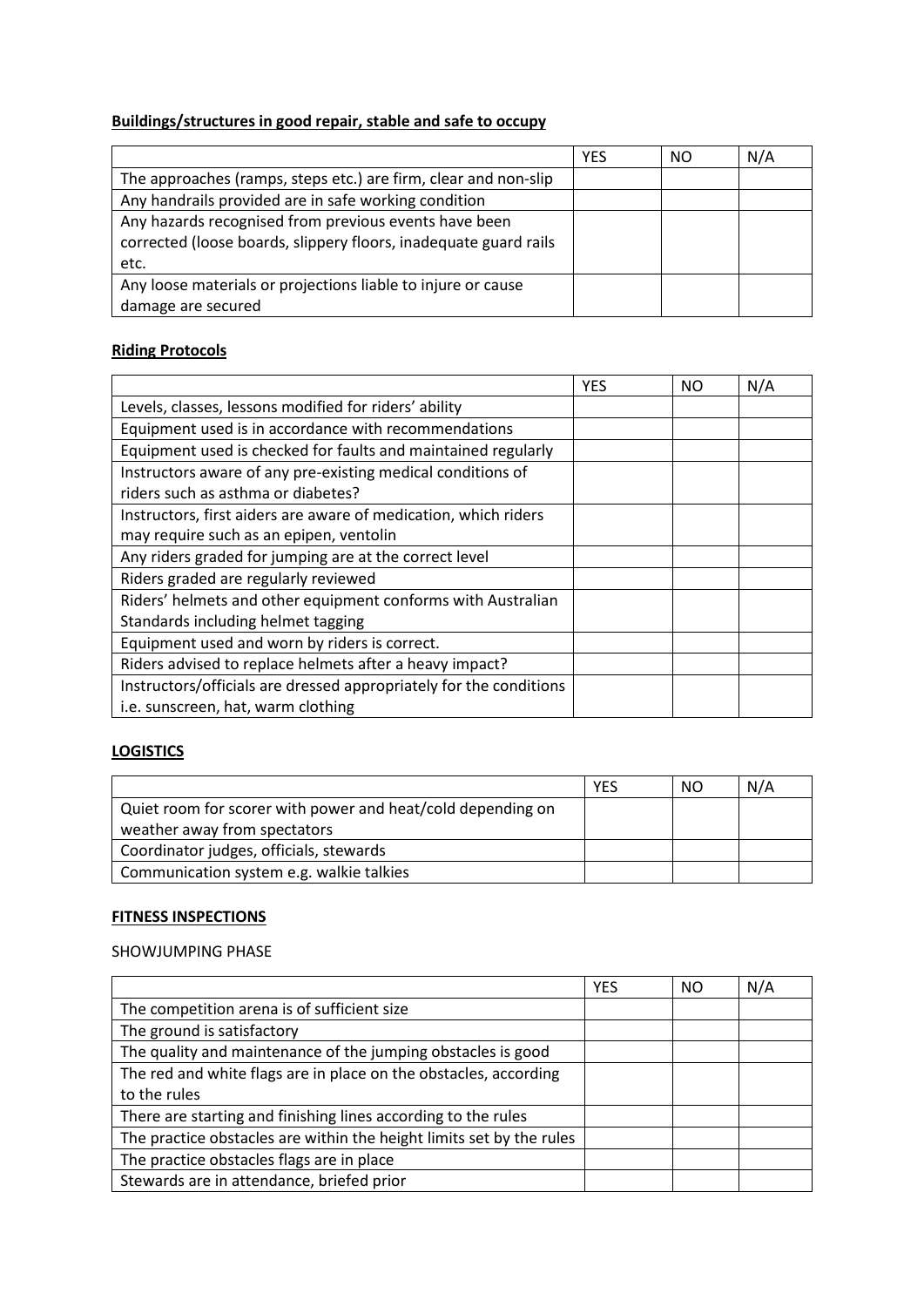# **Buildings/structures in good repair, stable and safe to occupy**

|                                                                  | <b>YES</b> | NΟ | N/A |
|------------------------------------------------------------------|------------|----|-----|
| The approaches (ramps, steps etc.) are firm, clear and non-slip  |            |    |     |
| Any handrails provided are in safe working condition             |            |    |     |
| Any hazards recognised from previous events have been            |            |    |     |
| corrected (loose boards, slippery floors, inadequate guard rails |            |    |     |
| etc.                                                             |            |    |     |
| Any loose materials or projections liable to injure or cause     |            |    |     |
| damage are secured                                               |            |    |     |

### **Riding Protocols**

|                                                                    | <b>YES</b> | <b>NO</b> | N/A |
|--------------------------------------------------------------------|------------|-----------|-----|
| Levels, classes, lessons modified for riders' ability              |            |           |     |
| Equipment used is in accordance with recommendations               |            |           |     |
| Equipment used is checked for faults and maintained regularly      |            |           |     |
| Instructors aware of any pre-existing medical conditions of        |            |           |     |
| riders such as asthma or diabetes?                                 |            |           |     |
| Instructors, first aiders are aware of medication, which riders    |            |           |     |
| may require such as an epipen, ventolin                            |            |           |     |
| Any riders graded for jumping are at the correct level             |            |           |     |
| Riders graded are regularly reviewed                               |            |           |     |
| Riders' helmets and other equipment conforms with Australian       |            |           |     |
| Standards including helmet tagging                                 |            |           |     |
| Equipment used and worn by riders is correct.                      |            |           |     |
| Riders advised to replace helmets after a heavy impact?            |            |           |     |
| Instructors/officials are dressed appropriately for the conditions |            |           |     |
| i.e. sunscreen, hat, warm clothing                                 |            |           |     |

## **LOGISTICS**

|                                                             | <b>YES</b> | NO. | N/A |
|-------------------------------------------------------------|------------|-----|-----|
| Quiet room for scorer with power and heat/cold depending on |            |     |     |
| weather away from spectators                                |            |     |     |
| Coordinator judges, officials, stewards                     |            |     |     |
| Communication system e.g. walkie talkies                    |            |     |     |

### **FITNESS INSPECTIONS**

SHOWJUMPING PHASE

|                                                                      | YES | NO | N/A |
|----------------------------------------------------------------------|-----|----|-----|
| The competition arena is of sufficient size                          |     |    |     |
| The ground is satisfactory                                           |     |    |     |
| The quality and maintenance of the jumping obstacles is good         |     |    |     |
| The red and white flags are in place on the obstacles, according     |     |    |     |
| to the rules                                                         |     |    |     |
| There are starting and finishing lines according to the rules        |     |    |     |
| The practice obstacles are within the height limits set by the rules |     |    |     |
| The practice obstacles flags are in place                            |     |    |     |
| Stewards are in attendance, briefed prior                            |     |    |     |